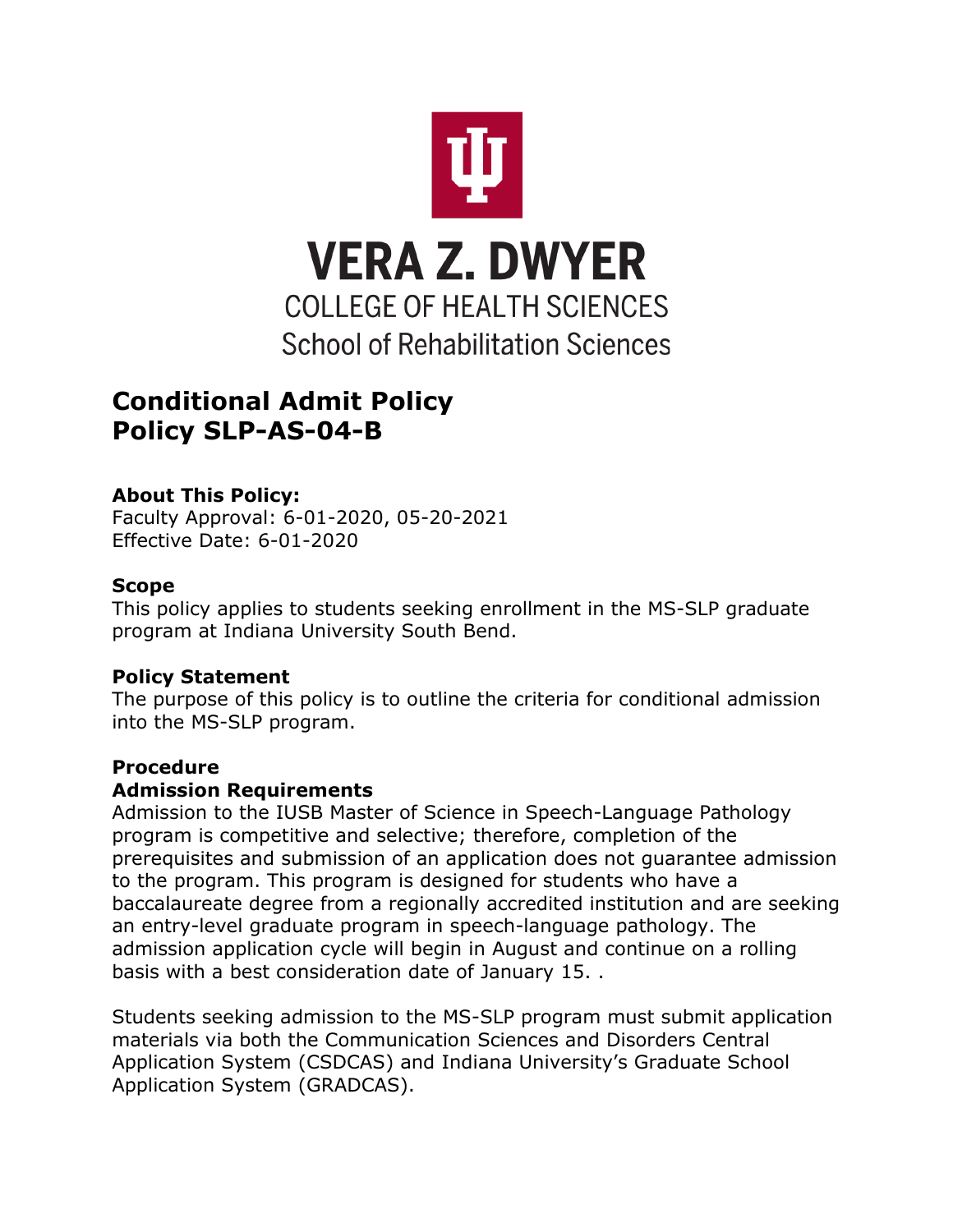

# **Conditional Admit Policy Policy SLP-AS-04-B**

# **About This Policy:**

Faculty Approval: 6-01-2020, 05-20-2021 Effective Date: 6-01-2020

### **Scope**

This policy applies to students seeking enrollment in the MS-SLP graduate program at Indiana University South Bend.

#### **Policy Statement**

The purpose of this policy is to outline the criteria for conditional admission into the MS-SLP program.

# **Procedure**

#### **Admission Requirements**

Admission to the IUSB Master of Science in Speech-Language Pathology program is competitive and selective; therefore, completion of the prerequisites and submission of an application does not guarantee admission to the program. This program is designed for students who have a baccalaureate degree from a regionally accredited institution and are seeking an entry-level graduate program in speech-language pathology. The admission application cycle will begin in August and continue on a rolling basis with a best consideration date of January 15. .

Students seeking admission to the MS-SLP program must submit application materials via both the Communication Sciences and Disorders Central Application System (CSDCAS) and Indiana University's Graduate School Application System (GRADCAS).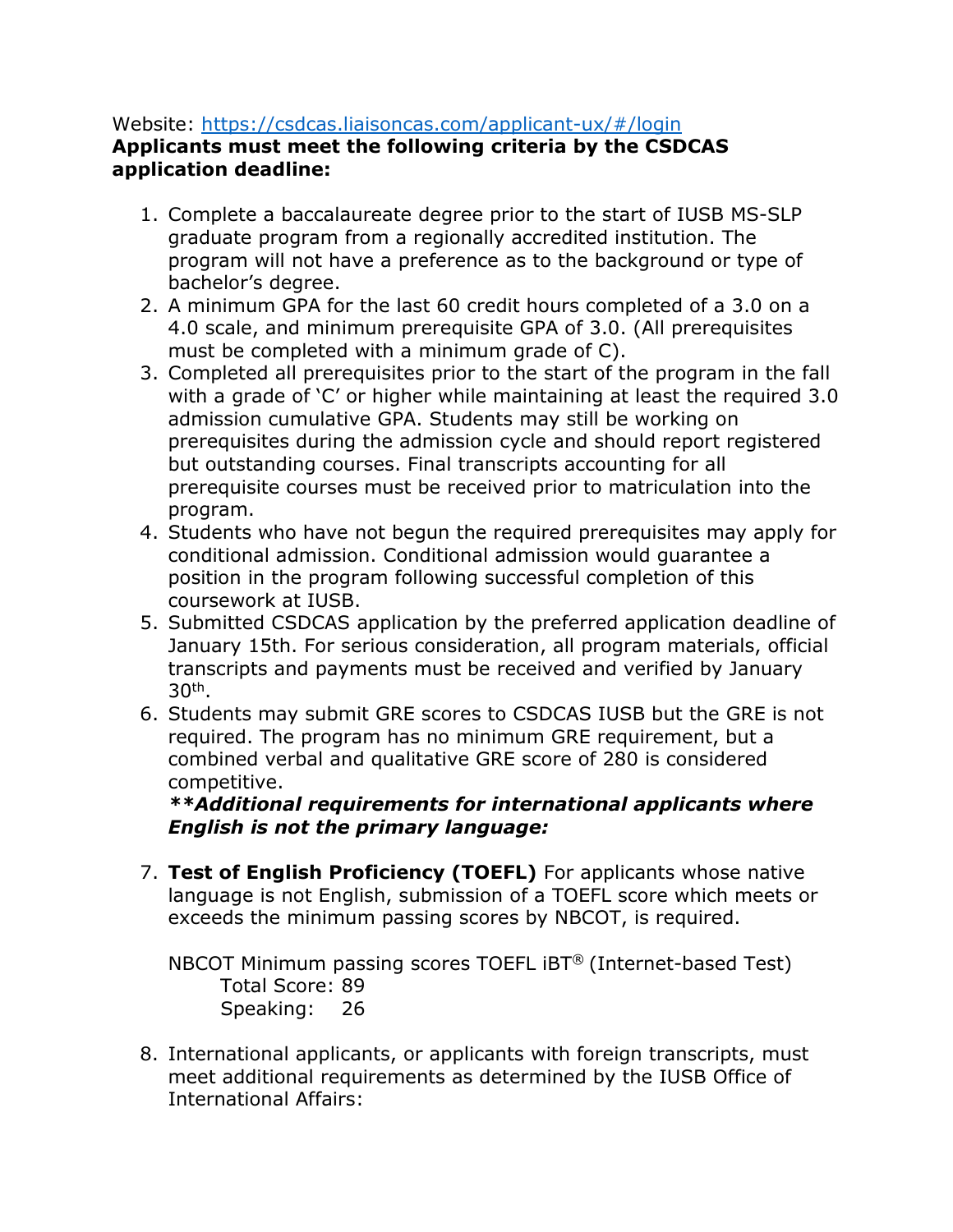### Website:<https://csdcas.liaisoncas.com/applicant-ux/#/login>

### **Applicants must meet the following criteria by the CSDCAS application deadline:**

- 1. Complete a baccalaureate degree prior to the start of IUSB MS-SLP graduate program from a regionally accredited institution. The program will not have a preference as to the background or type of bachelor's degree.
- 2. A minimum GPA for the last 60 credit hours completed of a 3.0 on a 4.0 scale, and minimum prerequisite GPA of 3.0. (All prerequisites must be completed with a minimum grade of C).
- 3. Completed all prerequisites prior to the start of the program in the fall with a grade of 'C' or higher while maintaining at least the required 3.0 admission cumulative GPA. Students may still be working on prerequisites during the admission cycle and should report registered but outstanding courses. Final transcripts accounting for all prerequisite courses must be received prior to matriculation into the program.
- 4. Students who have not begun the required prerequisites may apply for conditional admission. Conditional admission would guarantee a position in the program following successful completion of this coursework at IUSB.
- 5. Submitted CSDCAS application by the preferred application deadline of January 15th. For serious consideration, all program materials, official transcripts and payments must be received and verified by January  $30<sup>th</sup>$ .
- 6. Students may submit GRE scores to CSDCAS IUSB but the GRE is not required. The program has no minimum GRE requirement, but a combined verbal and qualitative GRE score of 280 is considered competitive.

### *\*\*Additional requirements for international applicants where English is not the primary language:*

7. **Test of English Proficiency (TOEFL)** For applicants whose native language is not English, submission of a TOEFL score which meets or exceeds the minimum passing scores by NBCOT, is required.

NBCOT Minimum passing scores TOEFL iBT® (Internet-based Test) Total Score: 89 Speaking: 26

8. International applicants, or applicants with foreign transcripts, must meet additional requirements as determined by the IUSB Office of International Affairs: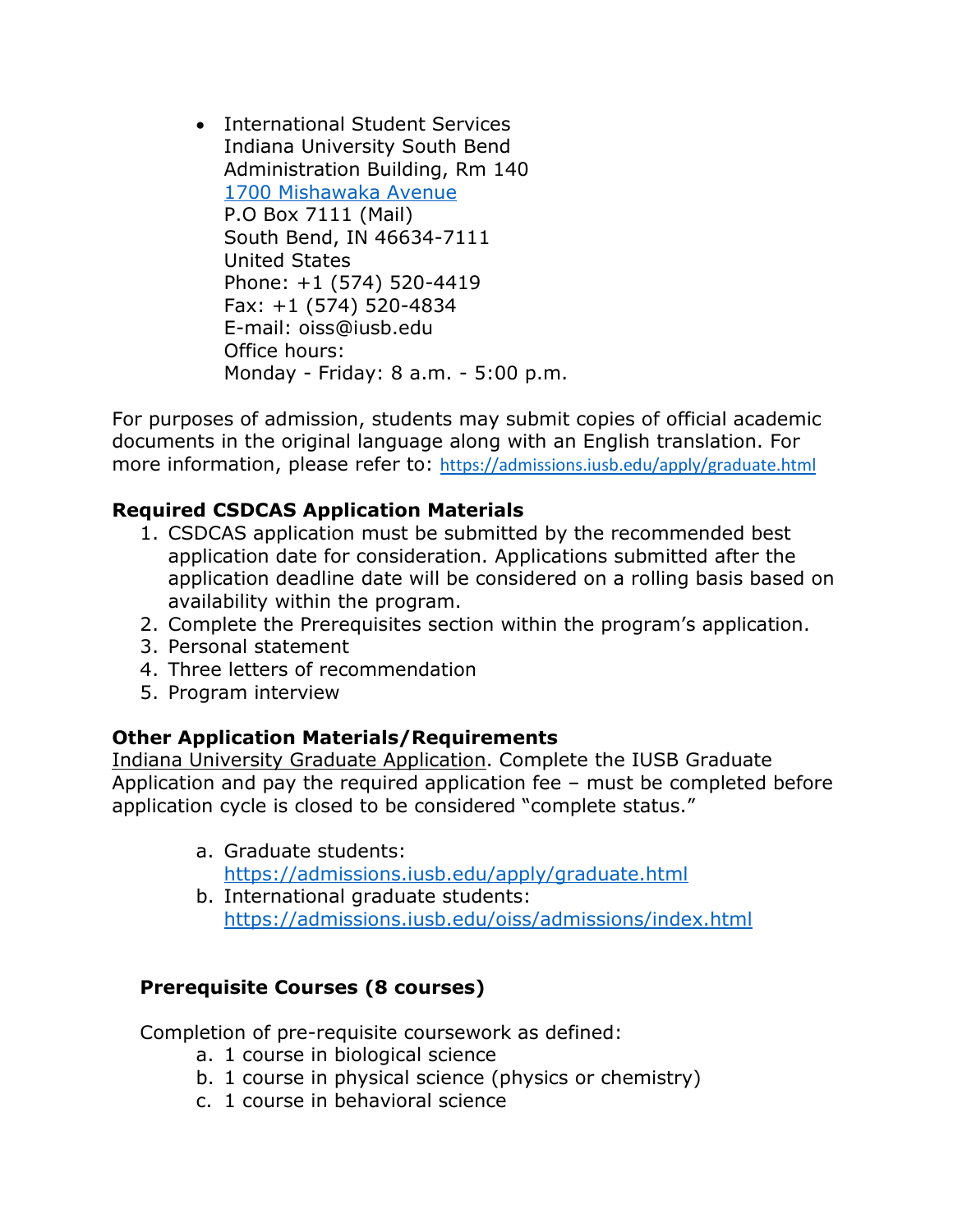• International Student Services Indiana University South Bend Administration Building, Rm 140 [1700 Mishawaka Avenue](https://goo.gl/maps/P9uXFzxfZ6w) P.O Box 7111 (Mail) South Bend, IN 46634-7111 United States Phone: +1 (574) 520-4419 Fax: +1 (574) 520-4834 E-mail: oiss@iusb.edu Office hours: Monday - Friday: 8 a.m. - 5:00 p.m.

For purposes of admission, students may submit copies of official academic documents in the original language along with an English translation. For more information, please refer to: <https://admissions.iusb.edu/apply/graduate.html>

# **Required CSDCAS Application Materials**

- 1. CSDCAS application must be submitted by the recommended best application date for consideration. Applications submitted after the application deadline date will be considered on a rolling basis based on availability within the program.
- 2. Complete the Prerequisites section within the program's application.
- 3. Personal statement
- 4. Three letters of recommendation
- 5. Program interview

# **Other Application Materials/Requirements**

Indiana University Graduate Application. Complete the IUSB Graduate Application and pay the required application fee – must be completed before application cycle is closed to be considered "complete status."

- a. Graduate students: <https://admissions.iusb.edu/apply/graduate.html>
- b. International graduate students: <https://admissions.iusb.edu/oiss/admissions/index.html>

# **Prerequisite Courses (8 courses)**

Completion of pre-requisite coursework as defined:

- a. 1 course in biological science
- b. 1 course in physical science (physics or chemistry)
- c. 1 course in behavioral science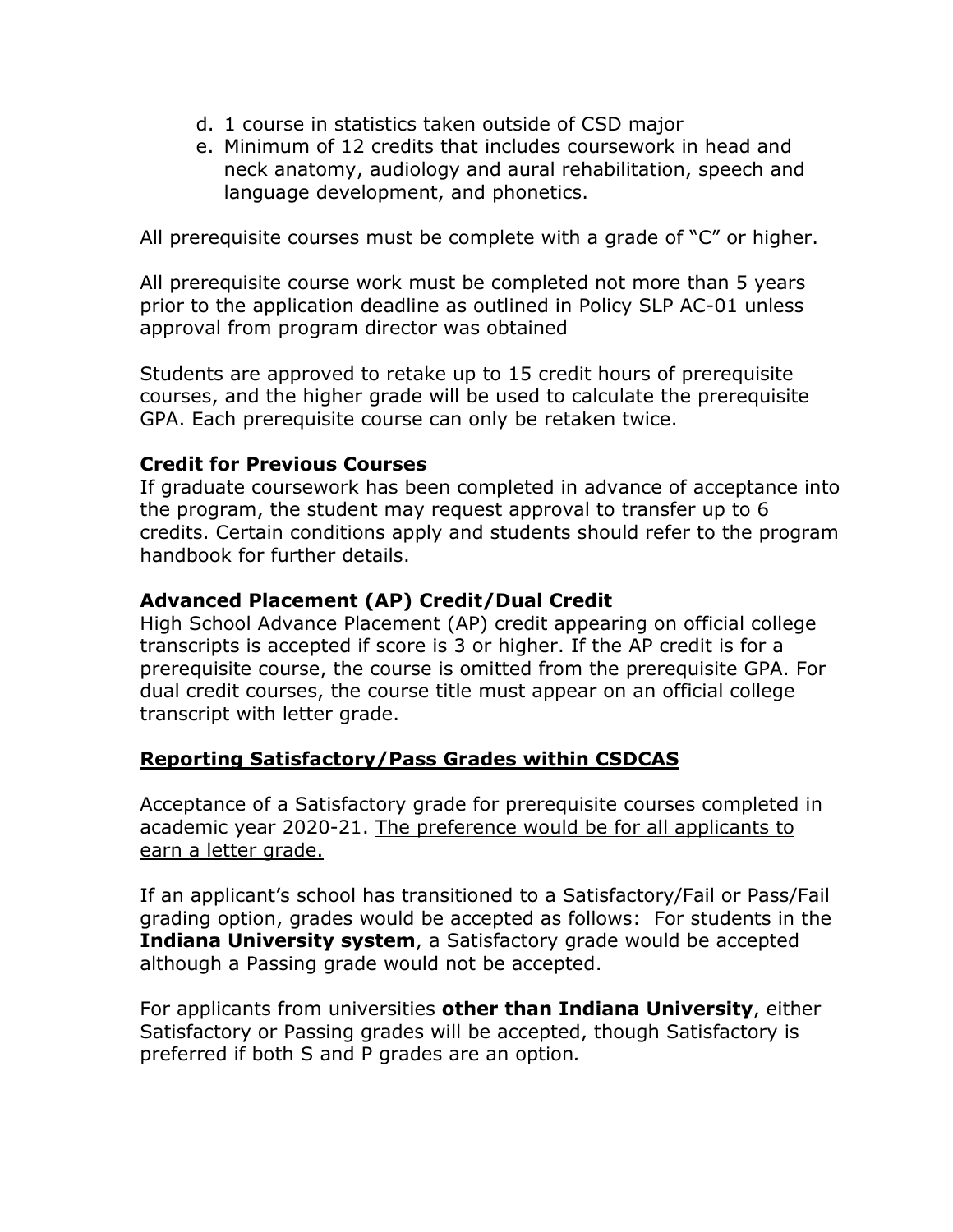- d. 1 course in statistics taken outside of CSD major
- e. Minimum of 12 credits that includes coursework in head and neck anatomy, audiology and aural rehabilitation, speech and language development, and phonetics.

All prerequisite courses must be complete with a grade of "C" or higher.

All prerequisite course work must be completed not more than 5 years prior to the application deadline as outlined in Policy SLP AC-01 unless approval from program director was obtained

Students are approved to retake up to 15 credit hours of prerequisite courses, and the higher grade will be used to calculate the prerequisite GPA. Each prerequisite course can only be retaken twice.

### **Credit for Previous Courses**

If graduate coursework has been completed in advance of acceptance into the program, the student may request approval to transfer up to 6 credits. Certain conditions apply and students should refer to the program handbook for further details.

# **Advanced Placement (AP) Credit/Dual Credit**

High School Advance Placement (AP) credit appearing on official college transcripts is accepted if score is 3 or higher. If the AP credit is for a prerequisite course, the course is omitted from the prerequisite GPA. For dual credit courses, the course title must appear on an official college transcript with letter grade.

# **Reporting Satisfactory/Pass Grades within CSDCAS**

Acceptance of a Satisfactory grade for prerequisite courses completed in academic year 2020-21. The preference would be for all applicants to earn a letter grade.

If an applicant's school has transitioned to a Satisfactory/Fail or Pass/Fail grading option, grades would be accepted as follows: For students in the **Indiana University system**, a Satisfactory grade would be accepted although a Passing grade would not be accepted.

For applicants from universities **other than Indiana University**, either Satisfactory or Passing grades will be accepted, though Satisfactory is preferred if both S and P grades are an option*.*